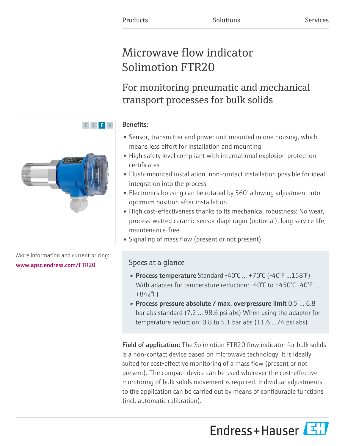# Microwave flow indicator Solimotion FTR20

## For monitoring pneumatic and mechanical transport processes for bulk solids

### Benefits:

- Sensor, transmitter and power unit mounted in one housing, which means less effort for installation and mounting
- High safety level compliant with international explosion protection certificates
- Flush-mounted installation, non-contact installation possible for ideal integration into the process
- Electronics housing can be rotated by 360° allowing adjustment into optimum position after installation
- High cost-effectiveness thanks to its mechanical robustness: No wear, process-wetted ceramic sensor diaphragm (optional), long service life, maintenance-free
- Signaling of mass flow (present or not present)

## Specs at a glance

- Process temperature Standard -40°C ... +70°C (-40°F ...158°F) With adapter for temperature reduction: -40°C to +450°C -40°F ... +842°F)
- Process pressure absolute / max. overpressure limit 0.5 ... 6.8 bar abs standard (7.2 ... 98.6 psi abs) When using the adapter for temperature reduction: 0.8 to 5.1 bar abs (11.6 ...74 psi abs)

Field of application: The Solimotion FTR20 flow indicator for bulk solids is a non-contact device based on microwave technology. It is ideally suited for cost-effective monitoring of a mass flow (present or not present). The compact device can be used wherever the cost-effective monitoring of bulk solids movement is required. Individual adjustments to the application can be carried out by means of configurable functions (incl. automatic calibration).

Endress+Hauser



More information and current pricing: [www.apsc.endress.com/FTR20](https://www.apsc.endress.com/FTR20)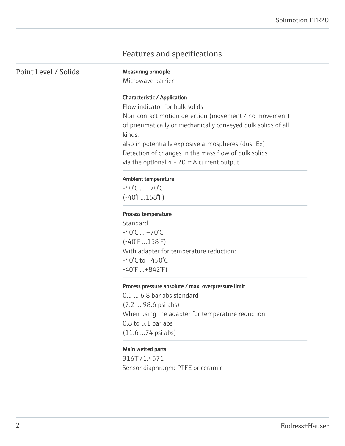## Features and specifications

Point Level / Solids Measuring principle

Microwave barrier

#### Characteristic / Application

Flow indicator for bulk solids Non-contact motion detection (movement / no movement) of pneumatically or mechanically conveyed bulk solids of all kinds, also in potentially explosive atmospheres (dust Ex)

Detection of changes in the mass flow of bulk solids via the optional 4 - 20 mA current output

#### Ambient temperature

 $-40^{\circ}$ C  $... + 70^{\circ}$ C (-40°F...158°F)

#### Process temperature

Standard  $-40^{\circ}$ C  $... + 70^{\circ}$ C (-40°F ...158°F) With adapter for temperature reduction: -40°C to +450°C -40°F ...+842°F)

#### Process pressure absolute / max. overpressure limit

0.5 ... 6.8 bar abs standard (7.2 ... 98.6 psi abs) When using the adapter for temperature reduction: 0.8 to 5.1 bar abs (11.6 ...74 psi abs)

#### Main wetted parts

316Ti/1.4571 Sensor diaphragm: PTFE or ceramic